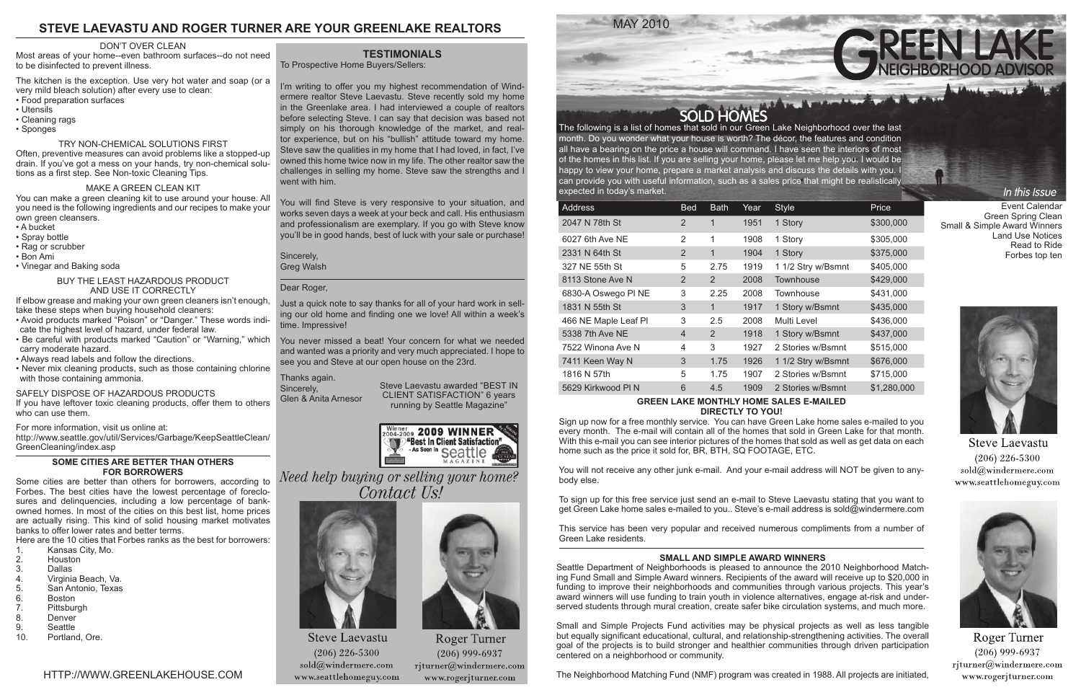MAY 2010





month. Do you wonder what your house is worth? The décor, the features and condition all have a bearing on the price a house will command. I have seen the interiors of most of the homes in this list. If you are selling your home, please let me help you. I would be happy to view your home, prepare a market analysis and discuss the details with you. I can provide you with useful information, such as a sales price that might be realistically expected in today's market.

| Address                   | <b>Bed</b>     | <b>Bath</b> | Year | <b>Style</b>       | Price       |  |  |  |
|---------------------------|----------------|-------------|------|--------------------|-------------|--|--|--|
| 2047 N 78th St            | $\overline{2}$ | $\mathbf 1$ | 1951 | 1 Story            | \$300,000   |  |  |  |
| 6027 6th Ave NE           | 2              | 1           | 1908 | 1 Story            | \$305,000   |  |  |  |
| 2331 N 64th St            | 2              | 1           | 1904 | 1 Story            | \$375,000   |  |  |  |
| 327 NE 55th St            | 5              | 2.75        | 1919 | 1 1/2 Stry w/Bsmnt | \$405,000   |  |  |  |
| 8113 Stone Ave N          | $\overline{2}$ | 2           | 2008 | Townhouse          | \$429,000   |  |  |  |
| 6830-A Oswego PI NE       | 3              | 2.25        | 2008 | Townhouse          | \$431,000   |  |  |  |
| 1831 N 55th St            | 3              | 1           | 1917 | 1 Story w/Bsmnt    | \$435,000   |  |  |  |
| 466 NE Maple Leaf Pl      | 3              | $2.5\,$     | 2008 | Multi Level        | \$436,000   |  |  |  |
| 5338 7th Ave NE           | $\overline{4}$ | 2           | 1918 | 1 Story w/Bsmnt    | \$437,000   |  |  |  |
| 7522 Winona Ave N         | 4              | 3           | 1927 | 2 Stories w/Bsmnt  | \$515,000   |  |  |  |
| 7411 Keen Way N           | 3              | 1.75        | 1926 | 1 1/2 Stry w/Bsmnt | \$676,000   |  |  |  |
| 1816 N 57th               | 5              | 1.75        | 1907 | 2 Stories w/Bsmnt  | \$715,000   |  |  |  |
| 5629 Kirkwood PI N        | 6              | 4.5         | 1909 | 2 Stories w/Bsmnt  | \$1,280,000 |  |  |  |
| ARPPN!!<br>$\blacksquare$ |                |             |      |                    |             |  |  |  |

#### **GREEN LAKE MONTHLY HOME SALES E-MAILED DIRECTLY TO YOU!**

Sign up now for a free monthly service. You can have Green Lake home sales e-mailed to you every month. The e-mail will contain all of the homes that sold in Green Lake for that month. With this e-mail you can see interior pictures of the homes that sold as well as get data on each home such as the price it sold for, BR, BTH, SQ FOOTAGE, ETC.

You will not receive any other junk e-mail. And your e-mail address will NOT be given to anybody else.

To sign up for this free service just send an e-mail to Steve Laevastu stating that you want to get Green Lake home sales e-mailed to you.. Steve's e-mail address is sold@windermere.com

This service has been very popular and received numerous compliments from a number of Green Lake residents.

I'm writing to offer you my highest recommendation of Windermere realtor Steve Laevastu. Steve recently sold my home in the Greenlake area. I had interviewed a couple of realtors before selecting Steve. I can say that decision was based not simply on his thorough knowledge of the market, and realtor experience, but on his "bullish" attitude toward my home. Steve saw the qualities in my home that I had loved, in fact, I've owned this home twice now in my life. The other realtor saw the challenges in selling my home. Steve saw the strengths and I went with him.

You will find Steve is very responsive to your situation, and works seven days a week at your beck and call. His enthusiasm and professionalism are exemplary. If you go with Steve know you'll be in good hands, best of luck with your sale or purchase!

Sincerely, Greg Walsh

#### Dear Roger,

Just a quick note to say thanks for all of your hard work in selling our old home and finding one we love! All within a week's time. Impressive!

You never missed a beat! Your concern for what we needed and wanted was a priority and very much appreciated. I hope to see you and Steve at our open house on the 23rd.

#### Thanks again.

Sincerely, Glen & Anita Arnesor

# **STEVE LAEVASTU AND ROGER TURNER ARE YOUR GREENLAKE REALTORS**

#### **SMALL AND SIMPLE AWARD WINNERS**

Seattle Department of Neighborhoods is pleased to announce the 2010 Neighborhood Matching Fund Small and Simple Award winners. Recipients of the award will receive up to \$20,000 in funding to improve their neighborhoods and communities through various projects. This year's award winners will use funding to train youth in violence alternatives, engage at-risk and underserved students through mural creation, create safer bike circulation systems, and much more.

Small and Simple Projects Fund activities may be physical projects as well as less tangible but equally significant educational, cultural, and relationship-strengthening activities. The overall goal of the projects is to build stronger and healthier communities through driven participation centered on a neighborhood or community.

The Neighborhood Matching Fund (NMF) program was created in 1988. All projects are initiated,

Event Calendar Green Spring Clean Small & Simple Award Winners Land Use Notices Read to Ride Forbes top ten

In this Issue



**Steve Laevastu**  $(206)$  226-5300 sold@windermere.com www.seattlehomeguy.com



**Roger Turner**  $(206)$  999-6937  $r$ jturner@windermere.com www.rogerjturner.com

#### DON'T OVER CLEAN

Most areas of your home--even bathroom surfaces--do not need to be disinfected to prevent illness.

The kitchen is the exception. Use very hot water and soap (or a very mild bleach solution) after every use to clean: • Food preparation surfaces

- Utensils
- Cleaning rags
- Sponges

#### TRY NON-CHEMICAL SOLUTIONS FIRST

Often, preventive measures can avoid problems like a stopped-up drain. If you've got a mess on your hands, try non-chemical solutions as a first step. See Non-toxic Cleaning Tips.

#### MAKE A GREEN CLEAN KIT

You can make a green cleaning kit to use around your house. All you need is the following ingredients and our recipes to make your own green cleansers.

- A bucket
- Spray bottle
- Rag or scrubber
- Bon Ami
- Vinegar and Baking soda

#### BUY THE LEAST HAZARDOUS PRODUCT AND USE IT CORRECTLY

If elbow grease and making your own green cleaners isn't enough, take these steps when buying household cleaners:

- Avoid products marked "Poison" or "Danger." These words indicate the highest level of hazard, under federal law.
- Be careful with products marked "Caution" or "Warning," which carry moderate hazard.
- Always read labels and follow the directions.
- Never mix cleaning products, such as those containing chlorine with those containing ammonia.

#### SAFELY DISPOSE OF HAZARDOUS PRODUCTS

If you have leftover toxic cleaning products, offer them to others who can use them.

For more information, visit us online at:

http://www.seattle.gov/util/Services/Garbage/KeepSeattleClean/ GreenCleaning/index.asp

#### **SOME CITIES ARE BETTER THAN OTHERS FOR BORROWERS**

Some cities are better than others for borrowers, according to Forbes. The best cities have the lowest percentage of foreclosures and delinquencies, including a low percentage of bankowned homes. In most of the cities on this best list, home prices are actually rising. This kind of solid housing market motivates banks to offer lower rates and better terms.

Here are the 10 cities that Forbes ranks as the best for borrowers:

- 1. Kansas City, Mo.<br>2. Houston
- 2. Houston<br>3. Dallas
- 3. Dallas<br>4. Virginia
- 4. Virginia Beach, Va.
- 5. San Antonio, Texas
- 6. Boston<br>7. Pittsbur
- 7. Pittsburgh<br>8. Denver
- 8. Denver<br>9. Seattle
- 9. Seattle<br>10. Portlan
- Portland, Ore.

Steve Laevastu awarded "BEST IN CLIENT SATISFACTION" 6 years running by Seattle Magazine"



Need help buying or selling your home? Contact Us!



**Steve Laevastu**  $(206)$  226-5300  $\text{solid}(\widehat{a})$ windermere.com www.seattlehomeguy.com



Roger Turner  $(206)$  999-6937 rjturner@windermere.com www.rogerjturner.com